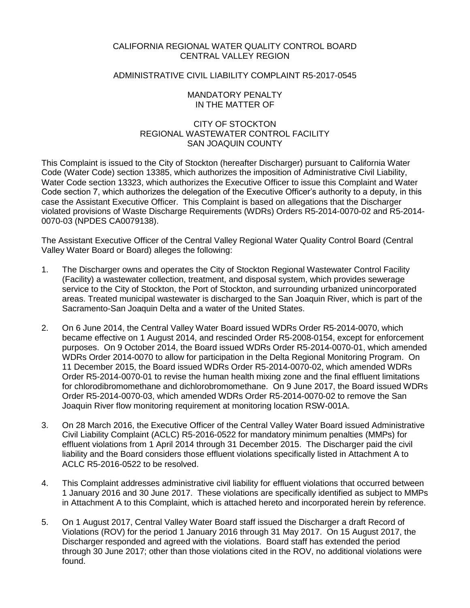# CALIFORNIA REGIONAL WATER QUALITY CONTROL BOARD CENTRAL VALLEY REGION

# ADMINISTRATIVE CIVIL LIABILITY COMPLAINT R5-2017-0545

## MANDATORY PENALTY IN THE MATTER OF

## CITY OF STOCKTON REGIONAL WASTEWATER CONTROL FACILITY SAN JOAQUIN COUNTY

This Complaint is issued to the City of Stockton (hereafter Discharger) pursuant to California Water Code (Water Code) section 13385, which authorizes the imposition of Administrative Civil Liability, Water Code section 13323, which authorizes the Executive Officer to issue this Complaint and Water Code section 7, which authorizes the delegation of the Executive Officer's authority to a deputy, in this case the Assistant Executive Officer. This Complaint is based on allegations that the Discharger violated provisions of Waste Discharge Requirements (WDRs) Orders R5-2014-0070-02 and R5-2014- 0070-03 (NPDES CA0079138).

The Assistant Executive Officer of the Central Valley Regional Water Quality Control Board (Central Valley Water Board or Board) alleges the following:

- 1. The Discharger owns and operates the City of Stockton Regional Wastewater Control Facility (Facility) a wastewater collection, treatment, and disposal system, which provides sewerage service to the City of Stockton, the Port of Stockton, and surrounding urbanized unincorporated areas. Treated municipal wastewater is discharged to the San Joaquin River, which is part of the Sacramento-San Joaquin Delta and a water of the United States.
- 2. On 6 June 2014, the Central Valley Water Board issued WDRs Order R5-2014-0070, which became effective on 1 August 2014, and rescinded Order R5-2008-0154, except for enforcement purposes. On 9 October 2014, the Board issued WDRs Order R5-2014-0070-01, which amended WDRs Order 2014-0070 to allow for participation in the Delta Regional Monitoring Program. On 11 December 2015, the Board issued WDRs Order R5-2014-0070-02, which amended WDRs Order R5-2014-0070-01 to revise the human health mixing zone and the final effluent limitations for chlorodibromomethane and dichlorobromomethane. On 9 June 2017, the Board issued WDRs Order R5-2014-0070-03, which amended WDRs Order R5-2014-0070-02 to remove the San Joaquin River flow monitoring requirement at monitoring location RSW-001A.
- 3. On 28 March 2016, the Executive Officer of the Central Valley Water Board issued Administrative Civil Liability Complaint (ACLC) R5-2016-0522 for mandatory minimum penalties (MMPs) for effluent violations from 1 April 2014 through 31 December 2015. The Discharger paid the civil liability and the Board considers those effluent violations specifically listed in Attachment A to ACLC R5-2016-0522 to be resolved.
- 4. This Complaint addresses administrative civil liability for effluent violations that occurred between 1 January 2016 and 30 June 2017. These violations are specifically identified as subject to MMPs in Attachment A to this Complaint, which is attached hereto and incorporated herein by reference.
- 5. On 1 August 2017, Central Valley Water Board staff issued the Discharger a draft Record of Violations (ROV) for the period 1 January 2016 through 31 May 2017. On 15 August 2017, the Discharger responded and agreed with the violations. Board staff has extended the period through 30 June 2017; other than those violations cited in the ROV, no additional violations were found.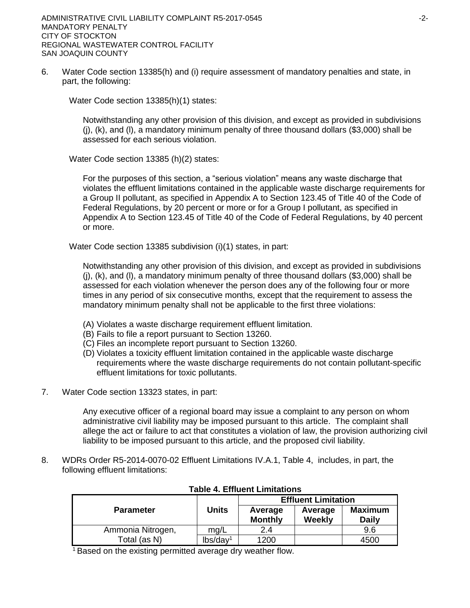6. Water Code section 13385(h) and (i) require assessment of mandatory penalties and state, in part, the following:

Water Code section 13385(h)(1) states:

Notwithstanding any other provision of this division, and except as provided in subdivisions  $(i)$ ,  $(k)$ , and  $(l)$ , a mandatory minimum penalty of three thousand dollars (\$3,000) shall be assessed for each serious violation.

Water Code section 13385 (h)(2) states:

For the purposes of this section, a "serious violation" means any waste discharge that violates the effluent limitations contained in the applicable waste discharge requirements for a Group II pollutant, as specified in Appendix A to Section 123.45 of Title 40 of the Code of Federal Regulations, by 20 percent or more or for a Group I pollutant, as specified in Appendix A to Section 123.45 of Title 40 of the Code of Federal Regulations, by 40 percent or more.

Water Code section 13385 subdivision (i)(1) states, in part:

Notwithstanding any other provision of this division, and except as provided in subdivisions  $(i)$ ,  $(k)$ , and  $(l)$ , a mandatory minimum penalty of three thousand dollars (\$3,000) shall be assessed for each violation whenever the person does any of the following four or more times in any period of six consecutive months, except that the requirement to assess the mandatory minimum penalty shall not be applicable to the first three violations:

- (A) Violates a waste discharge requirement effluent limitation.
- (B) Fails to file a report pursuant to Section 13260.
- (C) Files an incomplete report pursuant to Section 13260.
- (D) Violates a toxicity effluent limitation contained in the applicable waste discharge requirements where the waste discharge requirements do not contain pollutant-specific effluent limitations for toxic pollutants.
- 7. Water Code section 13323 states, in part:

Any executive officer of a regional board may issue a complaint to any person on whom administrative civil liability may be imposed pursuant to this article. The complaint shall allege the act or failure to act that constitutes a violation of law, the provision authorizing civil liability to be imposed pursuant to this article, and the proposed civil liability.

8. WDRs Order R5-2014-0070-02 Effluent Limitations IV.A.1, Table 4, includes, in part, the following effluent limitations:

|                   |                      | <b>Effluent Limitation</b> |                   |                                |  |
|-------------------|----------------------|----------------------------|-------------------|--------------------------------|--|
| <b>Parameter</b>  | Units                | Average<br><b>Monthly</b>  | Average<br>Weekly | <b>Maximum</b><br><b>Daily</b> |  |
| Ammonia Nitrogen, | mg/L                 | 2.4                        |                   | 9.6                            |  |
| Total (as N)      | lbs/day <sup>1</sup> | 1200                       |                   | 4500                           |  |

## **Table 4. Effluent Limitations**

<sup>1</sup> Based on the existing permitted average dry weather flow.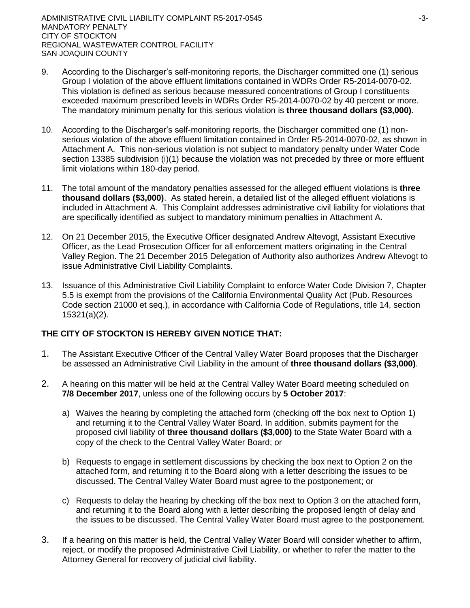- 9. According to the Discharger's self-monitoring reports, the Discharger committed one (1) serious Group I violation of the above effluent limitations contained in WDRs Order R5-2014-0070-02. This violation is defined as serious because measured concentrations of Group I constituents exceeded maximum prescribed levels in WDRs Order R5-2014-0070-02 by 40 percent or more. The mandatory minimum penalty for this serious violation is **three thousand dollars (\$3,000)**.
- 10. According to the Discharger's self-monitoring reports, the Discharger committed one (1) nonserious violation of the above effluent limitation contained in Order R5-2014-0070-02, as shown in Attachment A. This non-serious violation is not subject to mandatory penalty under Water Code section 13385 subdivision (i)(1) because the violation was not preceded by three or more effluent limit violations within 180-day period.
- 11. The total amount of the mandatory penalties assessed for the alleged effluent violations is **three thousand dollars (\$3,000)**. As stated herein, a detailed list of the alleged effluent violations is included in Attachment A. This Complaint addresses administrative civil liability for violations that are specifically identified as subject to mandatory minimum penalties in Attachment A.
- 12. On 21 December 2015, the Executive Officer designated Andrew Altevogt, Assistant Executive Officer, as the Lead Prosecution Officer for all enforcement matters originating in the Central Valley Region. The 21 December 2015 Delegation of Authority also authorizes Andrew Altevogt to issue Administrative Civil Liability Complaints.
- 13. Issuance of this Administrative Civil Liability Complaint to enforce Water Code Division 7, Chapter 5.5 is exempt from the provisions of the California Environmental Quality Act (Pub. Resources Code section 21000 et seq.), in accordance with California Code of Regulations, title 14, section 15321(a)(2).

# **THE CITY OF STOCKTON IS HEREBY GIVEN NOTICE THAT:**

- 1. The Assistant Executive Officer of the Central Valley Water Board proposes that the Discharger be assessed an Administrative Civil Liability in the amount of **three thousand dollars (\$3,000)**.
- 2. A hearing on this matter will be held at the Central Valley Water Board meeting scheduled on **7/8 December 2017**, unless one of the following occurs by **5 October 2017**:
	- a) Waives the hearing by completing the attached form (checking off the box next to Option 1) and returning it to the Central Valley Water Board. In addition, submits payment for the proposed civil liability of **three thousand dollars (\$3,000)** to the State Water Board with a copy of the check to the Central Valley Water Board; or
	- b) Requests to engage in settlement discussions by checking the box next to Option 2 on the attached form, and returning it to the Board along with a letter describing the issues to be discussed. The Central Valley Water Board must agree to the postponement; or
	- c) Requests to delay the hearing by checking off the box next to Option 3 on the attached form, and returning it to the Board along with a letter describing the proposed length of delay and the issues to be discussed. The Central Valley Water Board must agree to the postponement.
- 3. If a hearing on this matter is held, the Central Valley Water Board will consider whether to affirm, reject, or modify the proposed Administrative Civil Liability, or whether to refer the matter to the Attorney General for recovery of judicial civil liability.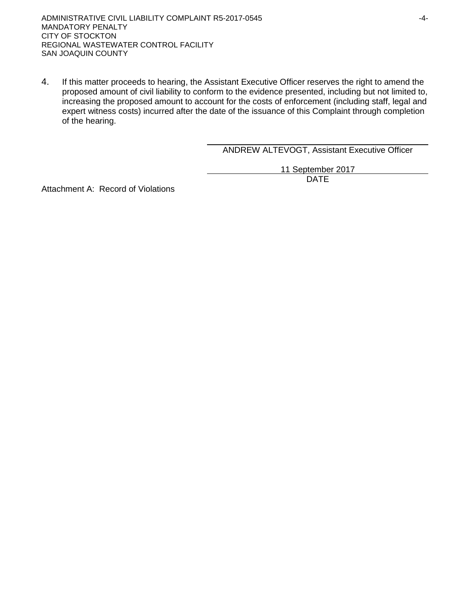4. If this matter proceeds to hearing, the Assistant Executive Officer reserves the right to amend the proposed amount of civil liability to conform to the evidence presented, including but not limited to, increasing the proposed amount to account for the costs of enforcement (including staff, legal and expert witness costs) incurred after the date of the issuance of this Complaint through completion of the hearing.

ANDREW ALTEVOGT, Assistant Executive Officer

11 September 2017 DATE

Attachment A: Record of Violations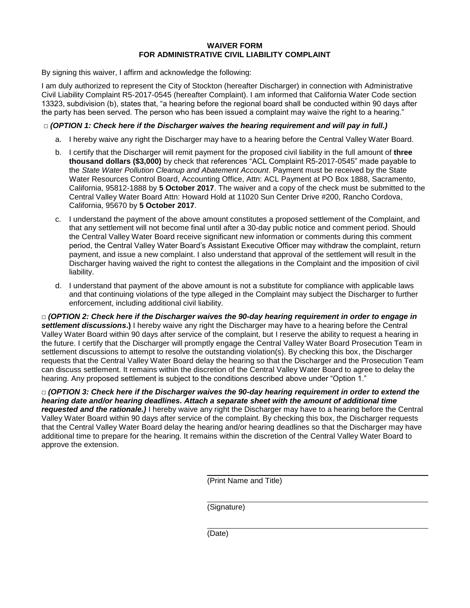## **WAIVER FORM FOR ADMINISTRATIVE CIVIL LIABILITY COMPLAINT**

By signing this waiver, I affirm and acknowledge the following:

I am duly authorized to represent the City of Stockton (hereafter Discharger) in connection with Administrative Civil Liability Complaint R5-2017-0545 (hereafter Complaint). I am informed that California Water Code section 13323, subdivision (b), states that, "a hearing before the regional board shall be conducted within 90 days after the party has been served. The person who has been issued a complaint may waive the right to a hearing."

## **□** *(OPTION 1: Check here if the Discharger waives the hearing requirement and will pay in full.)*

- a. I hereby waive any right the Discharger may have to a hearing before the Central Valley Water Board.
- b. I certify that the Discharger will remit payment for the proposed civil liability in the full amount of **three thousand dollars (\$3,000)** by check that references "ACL Complaint R5-2017-0545" made payable to the *State Water Pollution Cleanup and Abatement Account*. Payment must be received by the State Water Resources Control Board, Accounting Office, Attn: ACL Payment at PO Box 1888, Sacramento, California, 95812-1888 by **5 October 2017**. The waiver and a copy of the check must be submitted to the Central Valley Water Board Attn: Howard Hold at 11020 Sun Center Drive #200, Rancho Cordova, California, 95670 by **5 October 2017**.
- c. I understand the payment of the above amount constitutes a proposed settlement of the Complaint, and that any settlement will not become final until after a 30-day public notice and comment period. Should the Central Valley Water Board receive significant new information or comments during this comment period, the Central Valley Water Board's Assistant Executive Officer may withdraw the complaint, return payment, and issue a new complaint. I also understand that approval of the settlement will result in the Discharger having waived the right to contest the allegations in the Complaint and the imposition of civil liability.
- d. I understand that payment of the above amount is not a substitute for compliance with applicable laws and that continuing violations of the type alleged in the Complaint may subject the Discharger to further enforcement, including additional civil liability.

**□** *(OPTION 2: Check here if the Discharger waives the 90-day hearing requirement in order to engage in settlement discussions***.)** I hereby waive any right the Discharger may have to a hearing before the Central Valley Water Board within 90 days after service of the complaint, but I reserve the ability to request a hearing in the future. I certify that the Discharger will promptly engage the Central Valley Water Board Prosecution Team in settlement discussions to attempt to resolve the outstanding violation(s). By checking this box, the Discharger requests that the Central Valley Water Board delay the hearing so that the Discharger and the Prosecution Team can discuss settlement. It remains within the discretion of the Central Valley Water Board to agree to delay the hearing. Any proposed settlement is subject to the conditions described above under "Option 1."

**□** *(OPTION 3: Check here if the Discharger waives the 90-day hearing requirement in order to extend the hearing date and/or hearing deadlines. Attach a separate sheet with the amount of additional time requested and the rationale.)* I hereby waive any right the Discharger may have to a hearing before the Central Valley Water Board within 90 days after service of the complaint. By checking this box, the Discharger requests that the Central Valley Water Board delay the hearing and/or hearing deadlines so that the Discharger may have additional time to prepare for the hearing. It remains within the discretion of the Central Valley Water Board to approve the extension.

(Print Name and Title)

(Signature)

(Date)